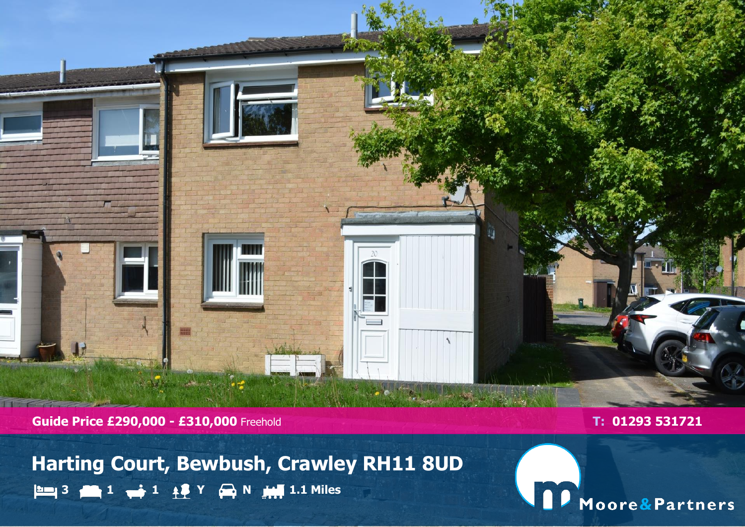

**Guide Price £290,000 - £310,000** Freehold **T: 01293 531721** 

**Harting Court, Bewbush, Crawley RH11 8UD 3 1 1 Y N 1.1 Miles**

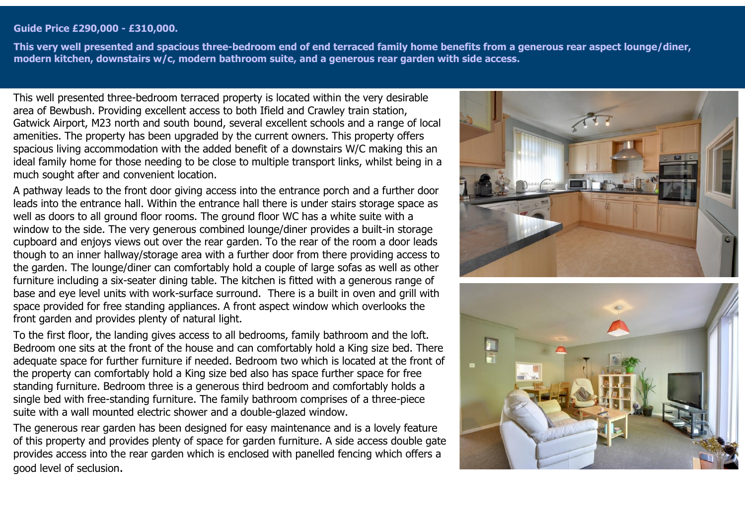## **Guide Price £290,000 - £310,000.**

**This very well presented and spacious three-bedroom end of end terraced family home benefits from a generous rear aspect lounge/diner, modern kitchen, downstairs w/c, modern bathroom suite, and a generous rear garden with side access.**

This well presented three-bedroom terraced property is located within the very desirable area of Bewbush. Providing excellent access to both Ifield and Crawley train station, Gatwick Airport, M23 north and south bound, several excellent schools and a range of local amenities. The property has been upgraded by the current owners. This property offers spacious living accommodation with the added benefit of a downstairs W/C making this an ideal family home for those needing to be close to multiple transport links, whilst being in a much sought after and convenient location.

A pathway leads to the front door giving access into the entrance porch and a further door leads into the entrance hall. Within the entrance hall there is under stairs storage space as well as doors to all ground floor rooms. The ground floor WC has a white suite with a window to the side. The very generous combined lounge/diner provides a built-in storage cupboard and enjoys views out over the rear garden. To the rear of the room a door leads though to an inner hallway/storage area with a further door from there providing access to the garden. The lounge/diner can comfortably hold a couple of large sofas as well as other furniture including a six-seater dining table. The kitchen is fitted with a generous range of base and eye level units with work-surface surround. There is a built in oven and grill with space provided for free standing appliances. A front aspect window which overlooks the front garden and provides plenty of natural light.

To the first floor, the landing gives access to all bedrooms, family bathroom and the loft. Bedroom one sits at the front of the house and can comfortably hold a King size bed. There adequate space for further furniture if needed. Bedroom two which is located at the front of the property can comfortably hold a King size bed also has space further space for free standing furniture. Bedroom three is a generous third bedroom and comfortably holds a single bed with free-standing furniture. The family bathroom comprises of a three-piece suite with a wall mounted electric shower and a double-glazed window.

The generous rear garden has been designed for easy maintenance and is a lovely feature of this property and provides plenty of space for garden furniture. A side access double gate provides access into the rear garden which is enclosed with panelled fencing which offers a good level of seclusion.



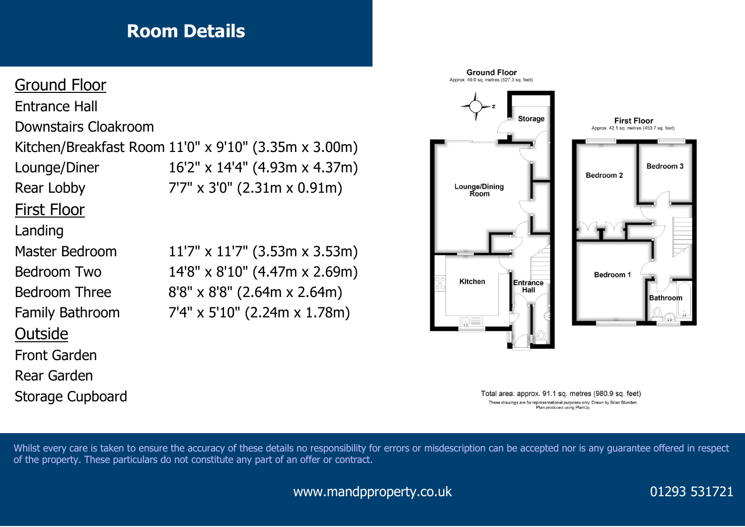## **Room Details**

## Ground Floor

Entrance Hall Downstairs Cloakroom

Kitchen/Breakfast Room 11'0" x 9'10" (3.35m x 3.00m)

First Floor

## Landing

**Outside** 

Front Garden

Rear Garden

Storage Cupboard





Total area: approx. 91.1 sq. metres (980.9 sq. feet) These drawings are for representational purposes only. Drawn by Brian Blunden Plan produced using PlanUp.

Whilst every care is taken to ensure the accuracy of these details no responsibility for errors or misdescription can be accepted nor is any guarantee offered in respect of the property. These particulars do not constitute any part of an offer or contract.

www.mandpproperty.co.uk 01293 531721